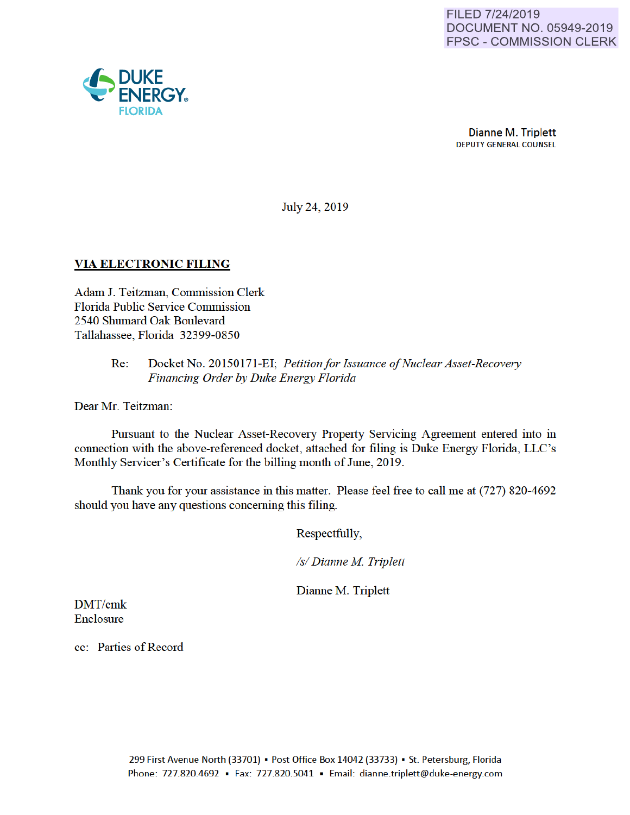

July 24, 2019

## VIA ELECTRONIC FILING

Adam J. Teitzman, Commission Clerk Florida Public Service Commission 2540 Shumard Oak Boulevard Tallahassee, Florida 32399-0850

#### Re: Docket No. 20150171-EI; *Petitionfor Issuance of Nuclear Asset-Recovery Financing Order by Duke Energy Florida*

Dear Mr. Teitzman:

Pursuant to the Nuclear Asset-Recovery Property Servicing Agreement entered into in connection with the above-referenced docket, attached for filing is Duke Energy Florida, LLC's Monthly Servicer's Certificate for the billing month of June, 2019.

Thank you for yom assistance in this matter. Please feel free to call me at (727) 820-4692 should you have any questions conceming this filing.

Respectfully,

*Is/ Dianne M Triplett* 

Dianne M. Triplett

DMT/cmk **Enclosure** 

cc: Parties of Record

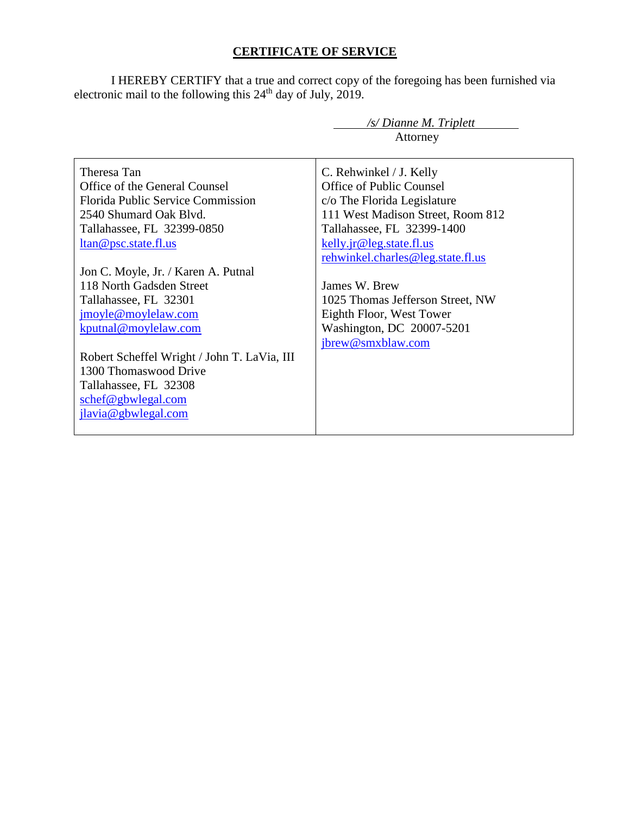# **CERTIFICATE OF SERVICE**

I HEREBY CERTIFY that a true and correct copy of the foregoing has been furnished via electronic mail to the following this  $24<sup>th</sup>$  day of July, 2019.

| /s/ Dianne M. Triplett                              |                                   |
|-----------------------------------------------------|-----------------------------------|
|                                                     | Attorney                          |
|                                                     |                                   |
| Theresa Tan                                         | C. Rehwinkel / J. Kelly           |
| Office of the General Counsel                       | Office of Public Counsel          |
| Florida Public Service Commission                   | c/o The Florida Legislature       |
| 2540 Shumard Oak Blvd.                              | 111 West Madison Street, Room 812 |
| Tallahassee, FL 32399-0850                          | Tallahassee, FL 32399-1400        |
| ltan@psc.state.fl.us                                | kelly.jr@leg.state.fl.us          |
|                                                     | rehwinkel.charles@leg.state.fl.us |
| Jon C. Moyle, Jr. / Karen A. Putnal                 |                                   |
| 118 North Gadsden Street                            | James W. Brew                     |
| Tallahassee, FL 32301                               | 1025 Thomas Jefferson Street, NW  |
| jmoyle@moylelaw.com                                 | Eighth Floor, West Tower          |
| kputnal@moylelaw.com                                | Washington, DC 20007-5201         |
|                                                     | jbrew@smxblaw.com                 |
| Robert Scheffel Wright / John T. LaVia, III         |                                   |
| 1300 Thomaswood Drive                               |                                   |
| Tallahassee, FL 32308                               |                                   |
| $\frac{\text{schef}\omega_{\text{gbwlegal.com}}{2}$ |                                   |
| jlavia@gbwlegal.com                                 |                                   |
|                                                     |                                   |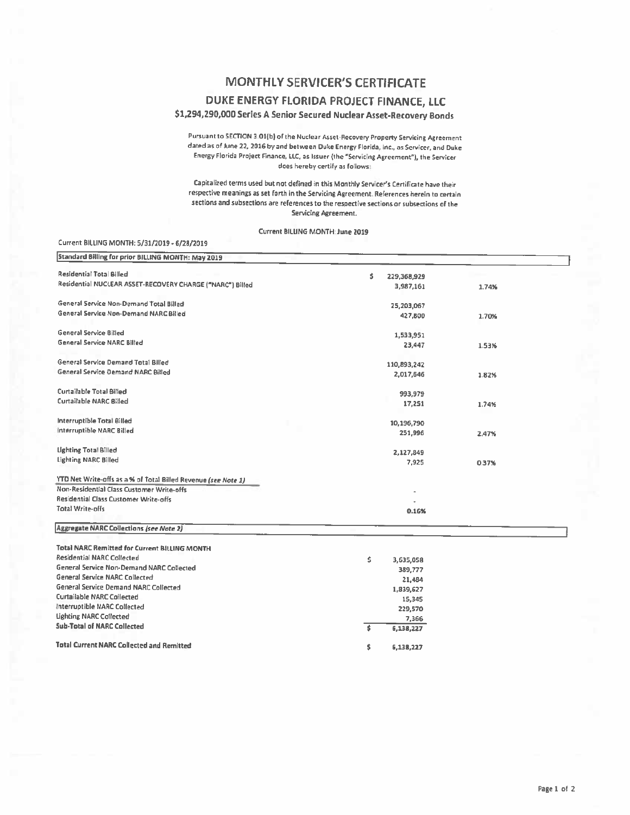## **MONTHLY SERVICER'S CERTIFICATE**

#### DUKE ENERGY FLORIDA PROJECT FINANCE, LLC

### \$1,294,290,000 Series A Senior Secured Nuclear Asset-Recovery Bonds

Pursuant to SECTION 3.01(b) of the Nuclear Asset-Recovery Property Servicing Agreement dated as of June 22, 2016 by and between Duke Energy Florida, inc., as Servicer, and Duke Energy Florida Project Finance, LLC, as Issuer (the "Servicing Agreement"), the Servicer does hereby certify as follows:

Capitalized terms used but not defined in this Monthly Servicer's Certificate have their respective meanings as set forth in the Servicing Agreement. References herein to certain sections and subsections are references to the respective sections or subsections of the Servicing Agreement.

Current BILLING MONTH: June 2019

#### Current BILLING MONTH: 5/31/2019 - 6/28/2019

| Standard Billing for prior BILLING MONTH: May 2019             |                   |       |
|----------------------------------------------------------------|-------------------|-------|
| Residential Total Billed                                       | s.<br>229,368,929 |       |
| Residential NUCLEAR ASSET-RECOVERY CHARGE ("NARC") Billed      | 3,987,161         | 1.74% |
| General Service Non-Demand Total Billed                        | 25,203,067        |       |
| General Service Non-Demand NARC Billed                         | 427,800           | 1.70% |
| General Service Billed                                         | 1,533,951         |       |
| <b>General Service NARC Billed</b>                             | 23,447            | 1.53% |
| General Service Demand Total Billed                            | 110,893,242       |       |
| General Service Demand NARC Billed                             | 2,017,646         | 1.82% |
| Curtailable Total Billed                                       | 993,979           |       |
| Curtailable NARC Billed                                        | 17,251            | 1.74% |
| Interruptible Total Billed                                     | 10,196,790        |       |
| Interruptible NARC Billed                                      | 251,996           | 2.47% |
| <b>Lighting Total Billed</b>                                   | 2,127,849         |       |
| <b>Lighting NARC Billed</b>                                    | 7,925             | 0.37% |
| YTD Net Write-offs as a % of Total Billed Revenue (see Note 1) |                   |       |
| Non-Residential Class Customer Write-offs                      |                   |       |
| Residential Class Customer Write-offs                          |                   |       |
| Total Write-offs                                               | 0.16%             |       |
| Aggregate NARC Collections (see Note 2)                        |                   |       |
| Total NARC Remitted for Current BILLING MONTH                  |                   |       |
| Residential NARC Collected                                     | \$<br>3,635,058   |       |
| General Service Non-Demand NARC Collected                      | 389,777           |       |
| General Service NARC Collected                                 | 21,484            |       |
| <b>General Service Demand NARC Collected</b>                   | 1,839,627         |       |
| <b>Curtailable NARC Collected</b>                              | 15,345            |       |
| Interruptible NARC Collected                                   | 229,570           |       |
| <b>Lighting NARC Collected</b>                                 | 7,366             |       |
| <b>Sub-Total of NARC Collected</b>                             | ŝ<br>6,138,227    |       |

6,138,227

Ś

**Total Current NARC Collected and Remitted**